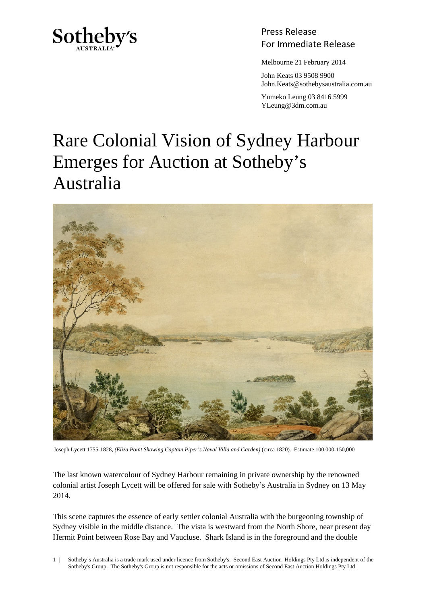

Press Release Sotheby's<br>For Immediate Release

Melbourne 21 February 2014

 John Keats 03 9508 9900 John.Keats@sothebysaustralia.com.au

 Yumeko Leung 03 8416 5999 YLeung@3dm.com.au

## Rare Colonial Vision of Sydney Harbour Emerges for Auction at Sotheby's Australia



Joseph Lycett 1755-1828, *(Eliza Point Showing Captain Piper's Naval Villa and Garden)* (circa 1820). Estimate 100,000-150,000

The last known watercolour of Sydney Harbour remaining in private ownership by the renowned colonial artist Joseph Lycett will be offered for sale with Sotheby's Australia in Sydney on 13 May 2014.

This scene captures the essence of early settler colonial Australia with the burgeoning township of Sydney visible in the middle distance. The vista is westward from the North Shore, near present day Hermit Point between Rose Bay and Vaucluse. Shark Island is in the foreground and the double

1 | Sotheby's Australia is a trade mark used under licence from Sotheby's. Second East Auction Holdings Pty Ltd is independent of the Sotheby's Group. The Sotheby's Group is not responsible for the acts or omissions of Second East Auction Holdings Pty Ltd